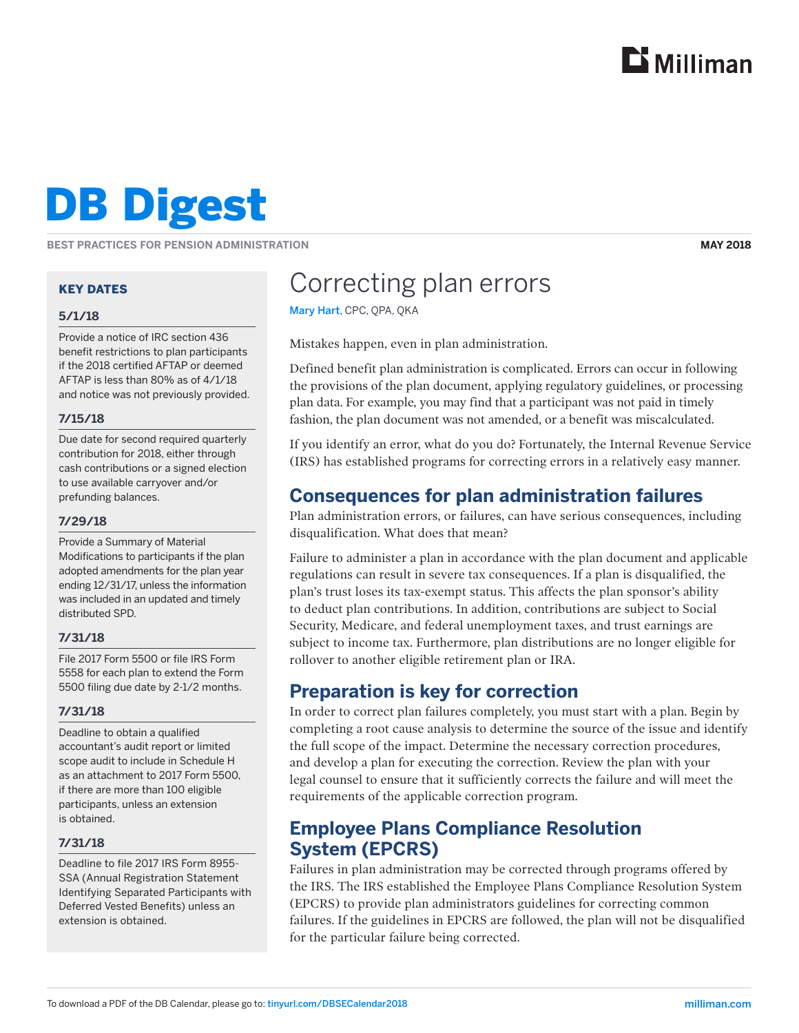

# DB Digest

**BEST PRACTICES FOR PENSION ADMINISTRATION**

**MAY 2018**

#### KEY DATES

#### **5/1/18**

Provide a notice of IRC section 436 benefit restrictions to plan participants if the 2018 certified AFTAP or deemed AFTAP is less than 80% as of 4/1/18 and notice was not previously provided.

#### **7/15/18**

Due date for second required quarterly contribution for 2018, either through cash contributions or a signed election to use available carryover and/or prefunding balances.

#### **7/29/18**

Provide a Summary of Material Modifications to participants if the plan adopted amendments for the plan year ending 12/31/17, unless the information was included in an updated and timely distributed SPD.

#### **7/31/18**

File 2017 Form 5500 or file IRS Form 5558 for each plan to extend the Form 5500 filing due date by 2-1/2 months.

#### **7/31/18**

Deadline to obtain a qualified accountant's audit report or limited scope audit to include in Schedule H as an attachment to 2017 Form 5500, if there are more than 100 eligible participants, unless an extension is obtained.

#### **7/31/18**

Deadline to file 2017 IRS Form 8955- SSA (Annual Registration Statement Identifying Separated Participants with Deferred Vested Benefits) unless an extension is obtained.

## Correcting plan errors

Mary Hart, CPC, QPA, QKA

Mistakes happen, even in plan administration.

Defined benefit plan administration is complicated. Errors can occur in following the provisions of the plan document, applying regulatory guidelines, or processing plan data. For example, you may find that a participant was not paid in timely fashion, the plan document was not amended, or a benefit was miscalculated.

If you identify an error, what do you do? Fortunately, the Internal Revenue Service (IRS) has established programs for correcting errors in a relatively easy manner.

## **Consequences for plan administration failures**

Plan administration errors, or failures, can have serious consequences, including disqualification. What does that mean?

Failure to administer a plan in accordance with the plan document and applicable regulations can result in severe tax consequences. If a plan is disqualified, the plan's trust loses its tax-exempt status. This affects the plan sponsor's ability to deduct plan contributions. In addition, contributions are subject to Social Security, Medicare, and federal unemployment taxes, and trust earnings are subject to income tax. Furthermore, plan distributions are no longer eligible for rollover to another eligible retirement plan or IRA.

## **Preparation is key for correction**

In order to correct plan failures completely, you must start with a plan. Begin by completing a root cause analysis to determine the source of the issue and identify the full scope of the impact. Determine the necessary correction procedures, and develop a plan for executing the correction. Review the plan with your legal counsel to ensure that it sufficiently corrects the failure and will meet the requirements of the applicable correction program.

## **Employee Plans Compliance Resolution System (EPCRS)**

Failures in plan administration may be corrected through programs offered by the IRS. The IRS established the Employee Plans Compliance Resolution System (EPCRS) to provide plan administrators guidelines for correcting common failures. If the guidelines in EPCRS are followed, the plan will not be disqualified for the particular failure being corrected.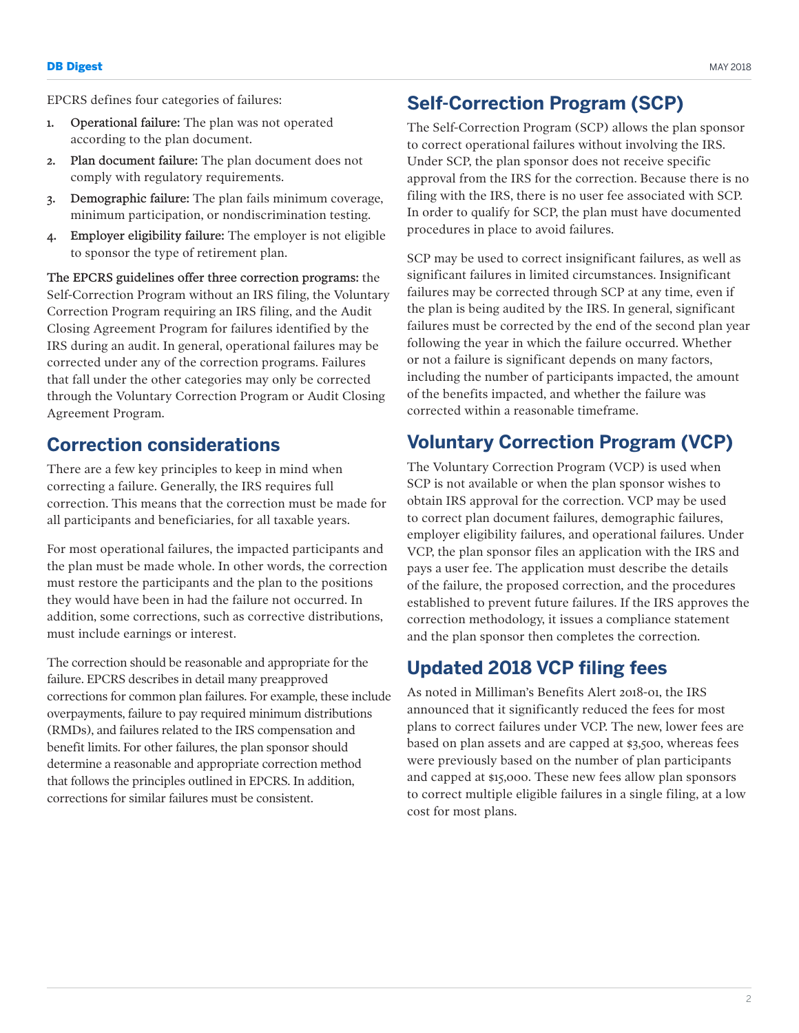EPCRS defines four categories of failures:

- 1. Operational failure: The plan was not operated according to the plan document.
- 2. Plan document failure: The plan document does not comply with regulatory requirements.
- 3. Demographic failure: The plan fails minimum coverage, minimum participation, or nondiscrimination testing.
- 4. Employer eligibility failure: The employer is not eligible to sponsor the type of retirement plan.

The EPCRS guidelines offer three correction programs: the Self-Correction Program without an IRS filing, the Voluntary Correction Program requiring an IRS filing, and the Audit Closing Agreement Program for failures identified by the IRS during an audit. In general, operational failures may be corrected under any of the correction programs. Failures that fall under the other categories may only be corrected through the Voluntary Correction Program or Audit Closing Agreement Program.

### **Correction considerations**

There are a few key principles to keep in mind when correcting a failure. Generally, the IRS requires full correction. This means that the correction must be made for all participants and beneficiaries, for all taxable years.

For most operational failures, the impacted participants and the plan must be made whole. In other words, the correction must restore the participants and the plan to the positions they would have been in had the failure not occurred. In addition, some corrections, such as corrective distributions, must include earnings or interest.

The correction should be reasonable and appropriate for the failure. EPCRS describes in detail many preapproved corrections for common plan failures. For example, these include overpayments, failure to pay required minimum distributions (RMDs), and failures related to the IRS compensation and benefit limits. For other failures, the plan sponsor should determine a reasonable and appropriate correction method that follows the principles outlined in EPCRS. In addition, corrections for similar failures must be consistent.

## **Self-Correction Program (SCP)**

The Self-Correction Program (SCP) allows the plan sponsor to correct operational failures without involving the IRS. Under SCP, the plan sponsor does not receive specific approval from the IRS for the correction. Because there is no filing with the IRS, there is no user fee associated with SCP. In order to qualify for SCP, the plan must have documented procedures in place to avoid failures.

SCP may be used to correct insignificant failures, as well as significant failures in limited circumstances. Insignificant failures may be corrected through SCP at any time, even if the plan is being audited by the IRS. In general, significant failures must be corrected by the end of the second plan year following the year in which the failure occurred. Whether or not a failure is significant depends on many factors, including the number of participants impacted, the amount of the benefits impacted, and whether the failure was corrected within a reasonable timeframe.

## **Voluntary Correction Program (VCP)**

The Voluntary Correction Program (VCP) is used when SCP is not available or when the plan sponsor wishes to obtain IRS approval for the correction. VCP may be used to correct plan document failures, demographic failures, employer eligibility failures, and operational failures. Under VCP, the plan sponsor files an application with the IRS and pays a user fee. The application must describe the details of the failure, the proposed correction, and the procedures established to prevent future failures. If the IRS approves the correction methodology, it issues a compliance statement and the plan sponsor then completes the correction.

## **Updated 2018 VCP filing fees**

As noted in Milliman's Benefits Alert 2018-01, the IRS announced that it significantly reduced the fees for most plans to correct failures under VCP. The new, lower fees are based on plan assets and are capped at \$3,500, whereas fees were previously based on the number of plan participants and capped at \$15,000. These new fees allow plan sponsors to correct multiple eligible failures in a single filing, at a low cost for most plans.